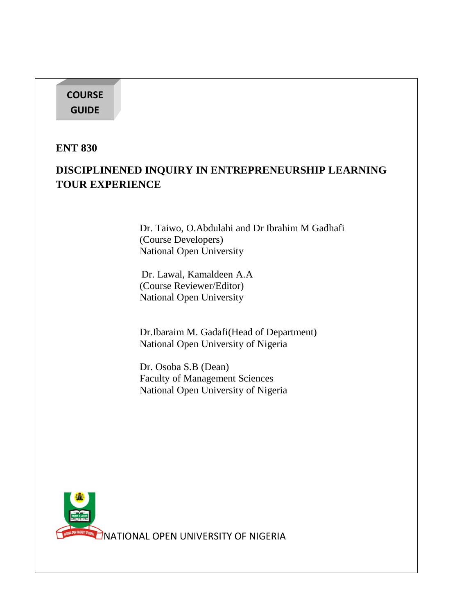## **COURSE GUIDE**

**ENT 830**

# **DISCIPLINENED INQUIRY IN ENTREPRENEURSHIP LEARNING TOUR EXPERIENCE**

Dr. Taiwo, O.Abdulahi and Dr Ibrahim M Gadhafi (Course Developers) National Open University

Dr. Lawal, Kamaldeen A.A (Course Reviewer/Editor) National Open University

Dr.Ibaraim M. Gadafi(Head of Department) National Open University of Nigeria

Dr. Osoba S.B (Dean) Faculty of Management Sciences National Open University of Nigeria

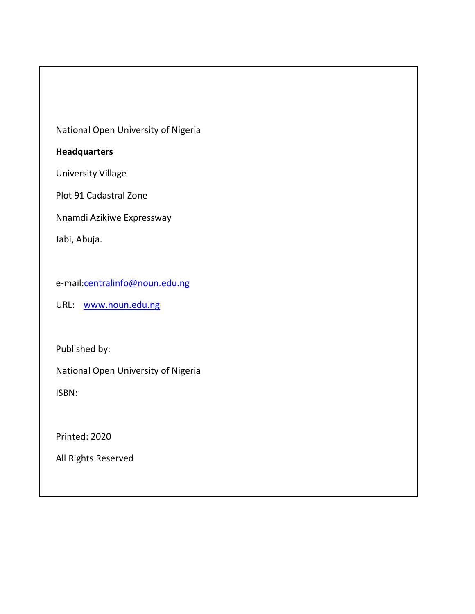National Open University of Nigeria

#### **Headquarters**

University Village

Plot 91 Cadastral Zone

Nnamdi Azikiwe Expressway

Jabi, Abuja.

e-mail[:centralinfo@noun.edu.ng](mailto:centralinfo@noun.edu.ng)

URL: [www.noun.edu.ng](http://www.noun.edu.ng/)

Published by:

National Open University of Nigeria

ISBN:

Printed: 2020

All Rights Reserved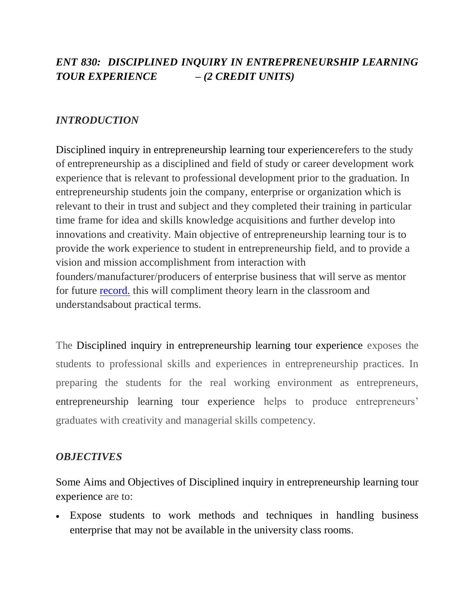# *ENT 830: DISCIPLINED INQUIRY IN ENTREPRENEURSHIP LEARNING TOUR EXPERIENCE – (2 CREDIT UNITS)*

## *INTRODUCTION*

Disciplined inquiry in entrepreneurship learning tour experiencerefers to the study of entrepreneurship as a disciplined and field of study or career development work experience that is relevant to professional development prior to the graduation. In entrepreneurship students join the company, enterprise or organization which is relevant to their in trust and subject and they completed their training in particular time frame for idea and skills knowledge acquisitions and further develop into innovations and creativity. Main objective of entrepreneurship learning tour is to provide the work experience to student in entrepreneurship field, and to provide a vision and mission accomplishment from interaction with founders/manufacturer/producers of enterprise business that will serve as mentor for future [record.](http://record.in/) this will compliment theory learn in the classroom and understandsabout practical terms.

The Disciplined inquiry in entrepreneurship learning tour experience exposes the students to professional skills and experiences in entrepreneurship practices. In preparing the students for the real working environment as entrepreneurs, entrepreneurship learning tour experience helps to produce entrepreneurs' graduates with creativity and managerial skills competency.

## *OBJECTIVES*

Some Aims and Objectives of Disciplined inquiry in entrepreneurship learning tour experience are to:

 Expose students to work methods and techniques in handling business enterprise that may not be available in the university class rooms.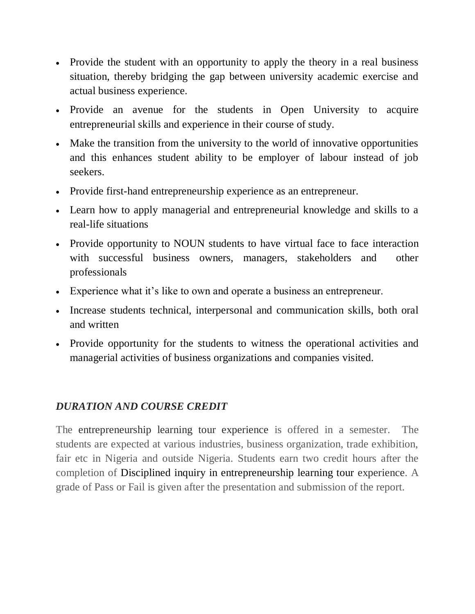- Provide the student with an opportunity to apply the theory in a real business situation, thereby bridging the gap between university academic exercise and actual business experience.
- Provide an avenue for the students in Open University to acquire entrepreneurial skills and experience in their course of study.
- Make the transition from the university to the world of innovative opportunities and this enhances student ability to be employer of labour instead of job seekers.
- Provide first-hand entrepreneurship experience as an entrepreneur.
- Learn how to apply managerial and entrepreneurial knowledge and skills to a real-life situations
- Provide opportunity to NOUN students to have virtual face to face interaction with successful business owners, managers, stakeholders and other professionals
- Experience what it's like to own and operate a business an entrepreneur.
- Increase students technical, interpersonal and communication skills, both oral and written
- Provide opportunity for the students to witness the operational activities and managerial activities of business organizations and companies visited.

# *DURATION AND COURSE CREDIT*

The entrepreneurship learning tour experience is offered in a semester. The students are expected at various industries, business organization, trade exhibition, fair etc in Nigeria and outside Nigeria. Students earn two credit hours after the completion of Disciplined inquiry in entrepreneurship learning tour experience. A grade of Pass or Fail is given after the presentation and submission of the report.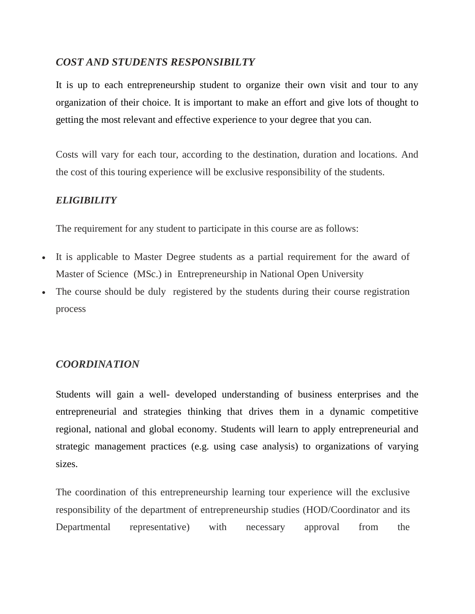#### *COST AND STUDENTS RESPONSIBILTY*

It is up to each entrepreneurship student to organize their own visit and tour to any organization of their choice. It is important to make an effort and give lots of thought to getting the most relevant and effective experience to your degree that you can.

Costs will vary for each tour, according to the destination, duration and locations. And the cost of this touring experience will be exclusive responsibility of the students.

#### *ELIGIBILITY*

The requirement for any student to participate in this course are as follows:

- It is applicable to Master Degree students as a partial requirement for the award of Master of Science (MSc.) in Entrepreneurship in National Open University
- The course should be duly registered by the students during their course registration process

## *COORDINATION*

Students will gain a well- developed understanding of business enterprises and the entrepreneurial and strategies thinking that drives them in a dynamic competitive regional, national and global economy. Students will learn to apply entrepreneurial and strategic management practices (e.g. using case analysis) to organizations of varying sizes.

The coordination of this entrepreneurship learning tour experience will the exclusive responsibility of the department of entrepreneurship studies (HOD/Coordinator and its Departmental representative) with necessary approval from the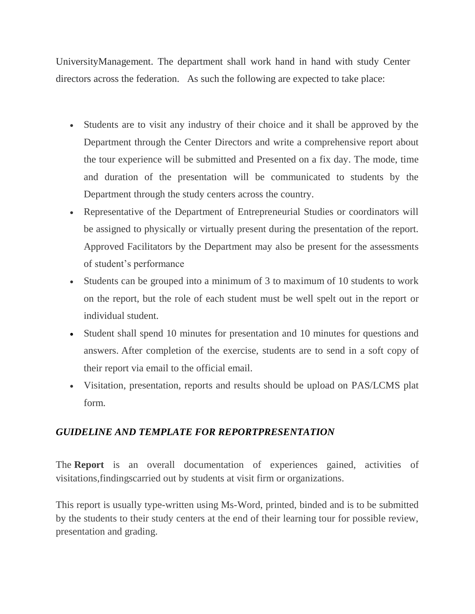UniversityManagement. The department shall work hand in hand with study Center directors across the federation. As such the following are expected to take place:

- Students are to visit any industry of their choice and it shall be approved by the Department through the Center Directors and write a comprehensive report about the tour experience will be submitted and Presented on a fix day. The mode, time and duration of the presentation will be communicated to students by the Department through the study centers across the country.
- Representative of the Department of Entrepreneurial Studies or coordinators will be assigned to physically or virtually present during the presentation of the report. Approved Facilitators by the Department may also be present for the assessments of student's performance
- Students can be grouped into a minimum of 3 to maximum of 10 students to work on the report, but the role of each student must be well spelt out in the report or individual student.
- Student shall spend 10 minutes for presentation and 10 minutes for questions and answers. After completion of the exercise, students are to send in a soft copy of their report via email to the official email.
- Visitation, presentation, reports and results should be upload on PAS/LCMS plat form.

## *GUIDELINE AND TEMPLATE FOR REPORTPRESENTATION*

The **Report** is an overall documentation of experiences gained, activities of visitations,findingscarried out by students at visit firm or organizations.

This report is usually type-written using Ms-Word, printed, binded and is to be submitted by the students to their study centers at the end of their learning tour for possible review, presentation and grading.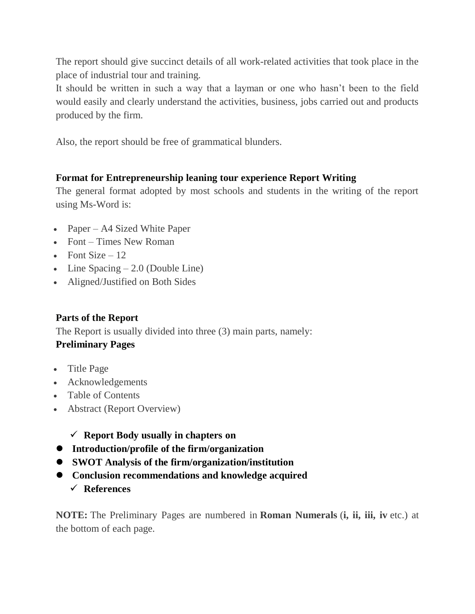The report should give succinct details of all work-related activities that took place in the place of industrial tour and training.

It should be written in such a way that a layman or one who hasn't been to the field would easily and clearly understand the activities, business, jobs carried out and products produced by the firm.

Also, the report should be free of grammatical blunders.

## **Format for Entrepreneurship leaning tour experience Report Writing**

The general format adopted by most schools and students in the writing of the report using Ms-Word is:

- Paper A4 Sized White Paper
- Font Times New Roman
- Font Size  $-12$
- $\bullet$  Line Spacing  $-2.0$  (Double Line)
- Aligned/Justified on Both Sides

## **Parts of the Report**

The Report is usually divided into three (3) main parts, namely:

## **Preliminary Pages**

- Title Page
- Acknowledgements
- Table of Contents
- Abstract (Report Overview)
	- **Report Body usually in chapters on**
- **Introduction/profile of the firm/organization**
- **SWOT Analysis of the firm/organization/institution**
- **Conclusion recommendations and knowledge acquired** 
	- **References**

**NOTE:** The Preliminary Pages are numbered in **Roman Numerals** (**i, ii, iii, iv** etc.) at the bottom of each page.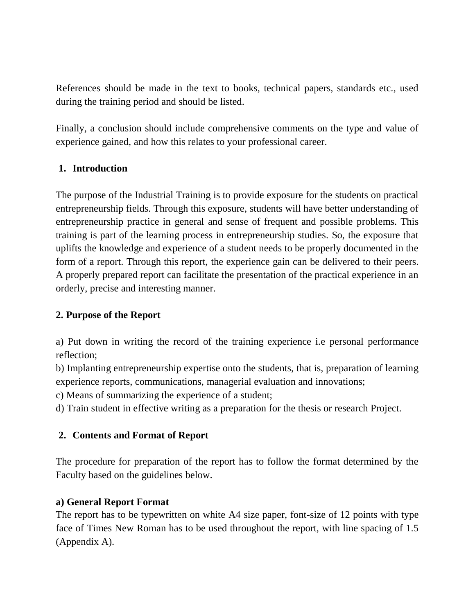References should be made in the text to books, technical papers, standards etc., used during the training period and should be listed.

Finally, a conclusion should include comprehensive comments on the type and value of experience gained, and how this relates to your professional career.

#### **1. Introduction**

The purpose of the Industrial Training is to provide exposure for the students on practical entrepreneurship fields. Through this exposure, students will have better understanding of entrepreneurship practice in general and sense of frequent and possible problems. This training is part of the learning process in entrepreneurship studies. So, the exposure that uplifts the knowledge and experience of a student needs to be properly documented in the form of a report. Through this report, the experience gain can be delivered to their peers. A properly prepared report can facilitate the presentation of the practical experience in an orderly, precise and interesting manner.

#### **2. Purpose of the Report**

a) Put down in writing the record of the training experience i.e personal performance reflection;

b) Implanting entrepreneurship expertise onto the students, that is, preparation of learning experience reports, communications, managerial evaluation and innovations;

c) Means of summarizing the experience of a student;

d) Train student in effective writing as a preparation for the thesis or research Project.

## **2. Contents and Format of Report**

The procedure for preparation of the report has to follow the format determined by the Faculty based on the guidelines below.

#### **a) General Report Format**

The report has to be typewritten on white A4 size paper, font-size of 12 points with type face of Times New Roman has to be used throughout the report, with line spacing of 1.5 (Appendix A).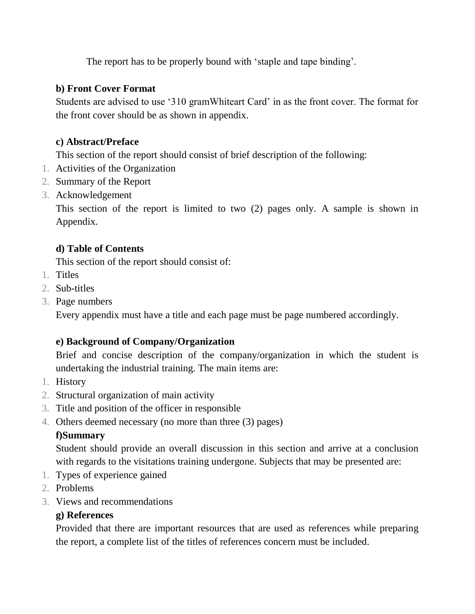The report has to be properly bound with 'staple and tape binding'.

## **b) Front Cover Format**

Students are advised to use '310 gramWhiteart Card' in as the front cover. The format for the front cover should be as shown in appendix.

# **c) Abstract/Preface**

This section of the report should consist of brief description of the following:

- 1. Activities of the Organization
- 2. Summary of the Report
- 3. Acknowledgement

This section of the report is limited to two (2) pages only. A sample is shown in Appendix.

# **d) Table of Contents**

This section of the report should consist of:

- 1. Titles
- 2. Sub-titles
- 3. Page numbers

Every appendix must have a title and each page must be page numbered accordingly.

# **e) Background of Company/Organization**

Brief and concise description of the company/organization in which the student is undertaking the industrial training. The main items are:

- 1. History
- 2. Structural organization of main activity
- 3. Title and position of the officer in responsible
- 4. Others deemed necessary (no more than three (3) pages)

# **f)Summary**

Student should provide an overall discussion in this section and arrive at a conclusion with regards to the visitations training undergone. Subjects that may be presented are:

- 1. Types of experience gained
- 2. Problems
- 3. Views and recommendations

# **g) References**

Provided that there are important resources that are used as references while preparing the report, a complete list of the titles of references concern must be included.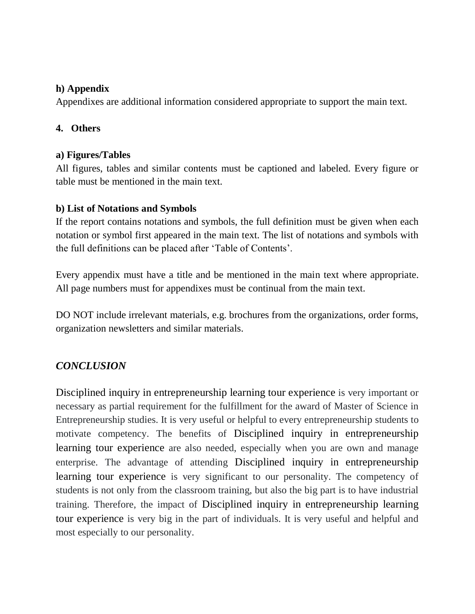## **h) Appendix**

Appendixes are additional information considered appropriate to support the main text.

## **4. Others**

#### **a) Figures/Tables**

All figures, tables and similar contents must be captioned and labeled. Every figure or table must be mentioned in the main text.

#### **b) List of Notations and Symbols**

If the report contains notations and symbols, the full definition must be given when each notation or symbol first appeared in the main text. The list of notations and symbols with the full definitions can be placed after 'Table of Contents'.

Every appendix must have a title and be mentioned in the main text where appropriate. All page numbers must for appendixes must be continual from the main text.

DO NOT include irrelevant materials, e.g. brochures from the organizations, order forms, organization newsletters and similar materials.

# *CONCLUSION*

Disciplined inquiry in entrepreneurship learning tour experience is very important or necessary as partial requirement for the fulfillment for the award of Master of Science in Entrepreneurship studies. It is very useful or helpful to every entrepreneurship students to motivate competency. The benefits of Disciplined inquiry in entrepreneurship learning tour experience are also needed, especially when you are own and manage enterprise. The advantage of attending Disciplined inquiry in entrepreneurship learning tour experience is very significant to our personality. The competency of students is not only from the classroom training, but also the big part is to have industrial training. Therefore, the impact of Disciplined inquiry in entrepreneurship learning tour experience is very big in the part of individuals. It is very useful and helpful and most especially to our personality.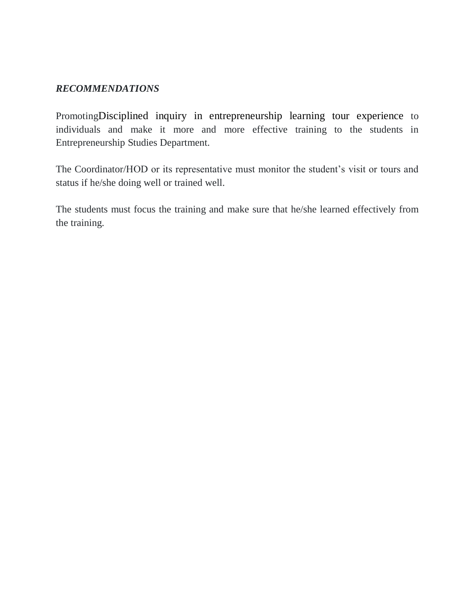#### *RECOMMENDATIONS*

PromotingDisciplined inquiry in entrepreneurship learning tour experience to individuals and make it more and more effective training to the students in Entrepreneurship Studies Department.

The Coordinator/HOD or its representative must monitor the student's visit or tours and status if he/she doing well or trained well.

The students must focus the training and make sure that he/she learned effectively from the training.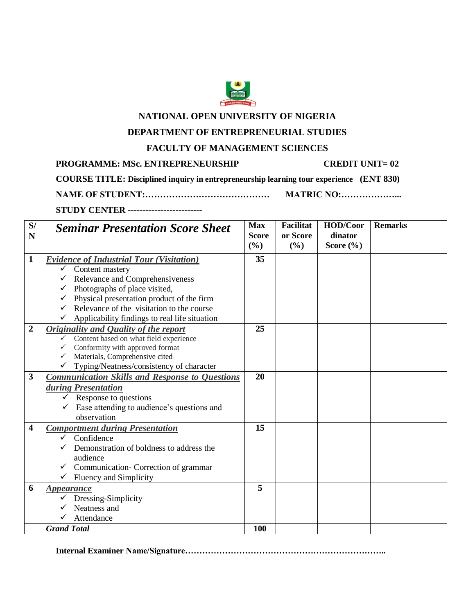

#### **NATIONAL OPEN UNIVERSITY OF NIGERIA**

#### **DEPARTMENT OF ENTREPRENEURIAL STUDIES**

#### **FACULTY OF MANAGEMENT SCIENCES**

**PROGRAMME: MSc. ENTREPRENEURSHIP CREDIT UNIT= 02** 

**COURSE TITLE: Disciplined inquiry in entrepreneurship learning tour experience (ENT 830)** 

**NAME OF STUDENT:…………………………………… MATRIC NO:………………... STUDY CENTER -------------------------**

| S/<br>N          | <b>Seminar Presentation Score Sheet</b>               | <b>Max</b><br><b>Score</b> | <b>Facilitat</b><br>or Score | HOD/Coor<br>dinator | <b>Remarks</b> |
|------------------|-------------------------------------------------------|----------------------------|------------------------------|---------------------|----------------|
|                  |                                                       | (%)                        | (%)                          | Score (%)           |                |
| $\mathbf{1}$     | <b>Evidence of Industrial Tour (Visitation)</b>       | 35                         |                              |                     |                |
|                  | $\checkmark$ Content mastery                          |                            |                              |                     |                |
|                  | $\checkmark$ Relevance and Comprehensiveness          |                            |                              |                     |                |
|                  | Photographs of place visited,<br>$\checkmark$         |                            |                              |                     |                |
|                  | Physical presentation product of the firm             |                            |                              |                     |                |
|                  | Relevance of the visitation to the course             |                            |                              |                     |                |
|                  | Applicability findings to real life situation         |                            |                              |                     |                |
| $\boldsymbol{2}$ | <b>Originality and Quality of the report</b>          | 25                         |                              |                     |                |
|                  | Content based on what field experience                |                            |                              |                     |                |
|                  | Conformity with approved format                       |                            |                              |                     |                |
|                  | Materials, Comprehensive cited                        |                            |                              |                     |                |
|                  | Typing/Neatness/consistency of character              |                            |                              |                     |                |
| 3                | <b>Communication Skills and Response to Questions</b> | 20                         |                              |                     |                |
|                  | during Presentation                                   |                            |                              |                     |                |
|                  | $\checkmark$ Response to questions                    |                            |                              |                     |                |
|                  | Ease attending to audience's questions and            |                            |                              |                     |                |
|                  | observation                                           |                            |                              |                     |                |
| 4                | <b>Comportment during Presentation</b>                | 15                         |                              |                     |                |
|                  | Confidence<br>✓                                       |                            |                              |                     |                |
|                  | Demonstration of boldness to address the              |                            |                              |                     |                |
|                  | audience                                              |                            |                              |                     |                |
|                  | Communication-Correction of grammar                   |                            |                              |                     |                |
|                  | <b>Fluency and Simplicity</b>                         |                            |                              |                     |                |
| 6                | <b>Appearance</b>                                     | 5                          |                              |                     |                |
|                  | Dressing-Simplicity                                   |                            |                              |                     |                |
|                  | Neatness and                                          |                            |                              |                     |                |
|                  | Attendance                                            |                            |                              |                     |                |
|                  | <b>Grand Total</b>                                    | 100                        |                              |                     |                |

**Internal Examiner Name/Signature……………………………………………………………..**